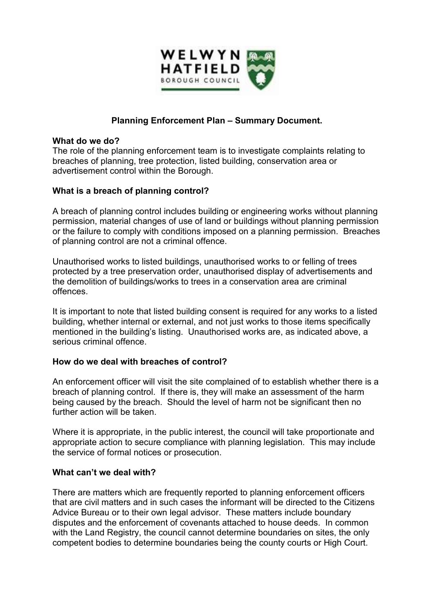

# **Planning Enforcement Plan – Summary Document.**

#### **What do we do?**

The role of the planning enforcement team is to investigate complaints relating to breaches of planning, tree protection, listed building, conservation area or advertisement control within the Borough.

### **What is a breach of planning control?**

A breach of planning control includes building or engineering works without planning permission, material changes of use of land or buildings without planning permission or the failure to comply with conditions imposed on a planning permission. Breaches of planning control are not a criminal offence.

Unauthorised works to listed buildings, unauthorised works to or felling of trees protected by a tree preservation order, unauthorised display of advertisements and the demolition of buildings/works to trees in a conservation area are criminal offences.

It is important to note that listed building consent is required for any works to a listed building, whether internal or external, and not just works to those items specifically mentioned in the building's listing. Unauthorised works are, as indicated above, a serious criminal offence.

### **How do we deal with breaches of control?**

An enforcement officer will visit the site complained of to establish whether there is a breach of planning control. If there is, they will make an assessment of the harm being caused by the breach. Should the level of harm not be significant then no further action will be taken.

Where it is appropriate, in the public interest, the council will take proportionate and appropriate action to secure compliance with planning legislation. This may include the service of formal notices or prosecution.

### **What can't we deal with?**

There are matters which are frequently reported to planning enforcement officers that are civil matters and in such cases the informant will be directed to the Citizens Advice Bureau or to their own legal advisor. These matters include boundary disputes and the enforcement of covenants attached to house deeds. In common with the Land Registry, the council cannot determine boundaries on sites, the only competent bodies to determine boundaries being the county courts or High Court.